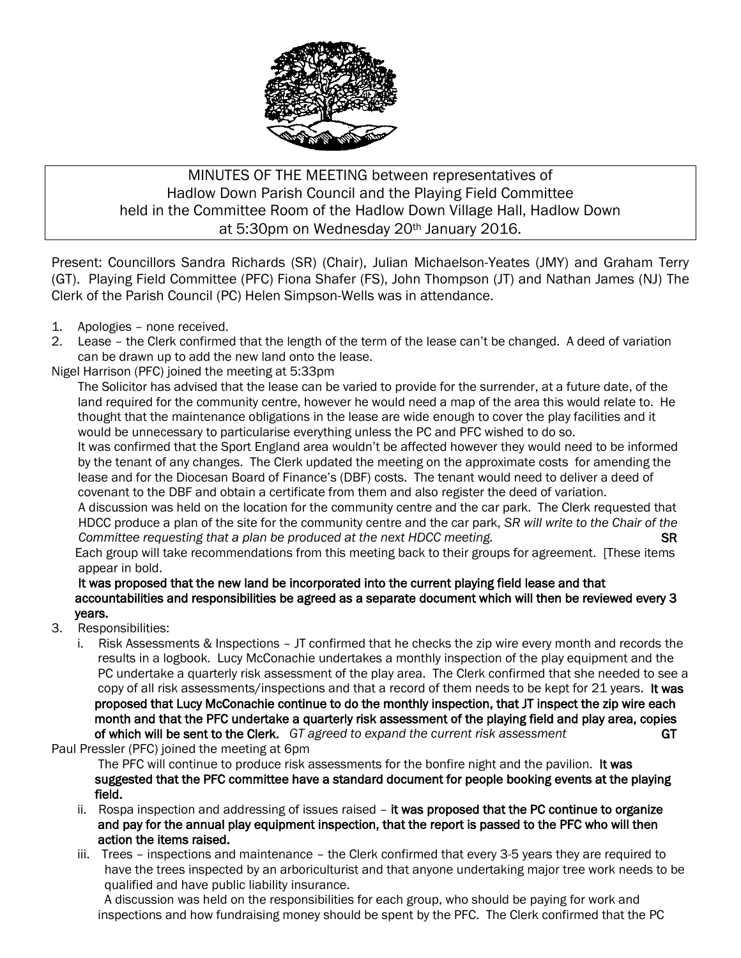

## MINUTES OF THE MEETING between representatives of Hadlow Down Parish Council and the Playing Field Committee held in the Committee Room of the Hadlow Down Village Hall, Hadlow Down at 5:30pm on Wednesday 20th January 2016.

Present: Councillors Sandra Richards (SR) (Chair), Julian Michaelson-Yeates (JMY) and Graham Terry (GT). Playing Field Committee (PFC) Fiona Shafer (FS), John Thompson (JT) and Nathan James (NJ) The Clerk of the Parish Council (PC) Helen Simpson-Wells was in attendance.

- 1. Apologies none received.
- 2. Lease the Clerk confirmed that the length of the term of the lease can't be changed. A deed of variation can be drawn up to add the new land onto the lease.

Nigel Harrison (PFC) joined the meeting at 5:33pm

The Solicitor has advised that the lease can be varied to provide for the surrender, at a future date, of the land required for the community centre, however he would need a map of the area this would relate to. He thought that the maintenance obligations in the lease are wide enough to cover the play facilities and it would be unnecessary to particularise everything unless the PC and PFC wished to do so.

It was confirmed that the Sport England area wouldn't be affected however they would need to be informed by the tenant of any changes. The Clerk updated the meeting on the approximate costs for amending the lease and for the Diocesan Board of Finance's (DBF) costs. The tenant would need to deliver a deed of covenant to the DBF and obtain a certificate from them and also register the deed of variation.

 A discussion was held on the location for the community centre and the car park. The Clerk requested that HDCC produce a plan of the site for the community centre and the car park, *SR will write to the Chair of the Committee requesting that a plan be produced at the next HDCC meeting.* SR

 Each group will take recommendations from this meeting back to their groups for agreement. [These items appear in bold.

## It was proposed that the new land be incorporated into the current playing field lease and that accountabilities and responsibilities be agreed as a separate document which will then be reviewed every 3 years.

- 3. Responsibilities:
	- i. Risk Assessments & Inspections JT confirmed that he checks the zip wire every month and records the results in a logbook. Lucy McConachie undertakes a monthly inspection of the play equipment and the PC undertake a quarterly risk assessment of the play area. The Clerk confirmed that she needed to see a copy of all risk assessments/inspections and that a record of them needs to be kept for 21 years. It was proposed that Lucy McConachie continue to do the monthly inspection, that JT inspect the zip wire each month and that the PFC undertake a quarterly risk assessment of the playing field and play area, copies of which will be sent to the Clerk. *GT agreed to expand the current risk assessment* GT

Paul Pressler (PFC) joined the meeting at 6pm

The PFC will continue to produce risk assessments for the bonfire night and the pavilion. It was suggested that the PFC committee have a standard document for people booking events at the playing field.

- ii. Rospa inspection and addressing of issues raised it was proposed that the PC continue to organize and pay for the annual play equipment inspection, that the report is passed to the PFC who will then action the items raised.
- iii. Trees inspections and maintenance the Clerk confirmed that every 3-5 years they are required to have the trees inspected by an arboriculturist and that anyone undertaking major tree work needs to be qualified and have public liability insurance.

 A discussion was held on the responsibilities for each group, who should be paying for work and inspections and how fundraising money should be spent by the PFC. The Clerk confirmed that the PC